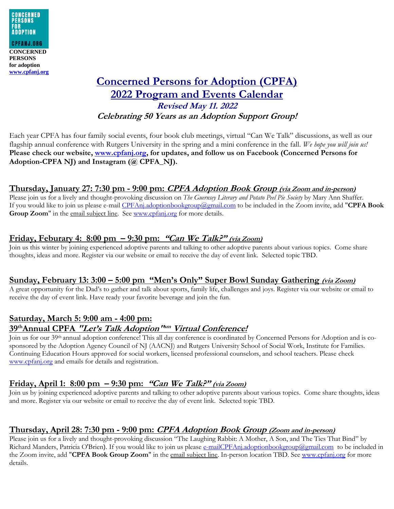

# **Concerned Persons for Adoption (CPFA) 2022 Program and Events Calendar Revised May 11. 2022 Celebrating 50 Years as an Adoption Support Group!**

Each year CPFA has four family social events, four book club meetings, virtual "Can We Talk" discussions, as well as our flagship annual conference with Rutgers University in the spring and a mini conference in the fall. *We hope you will join us!* **Please check our website, [www.cpfanj.org,](http://www.cpfanj.org/) for updates, and follow us on Facebook (Concerned Persons for Adoption-CPFA NJ) and Instagram (@ CPFA\_NJ).**

## **Thursday, January 27: 7:30 pm - 9:00 pm: CPFA Adoption Book Group (via Zoom and in-person)**

Please join us for a lively and thought-provoking discussion on *The Guernsey Literary and Potato Peel Pie Society* by Mary Ann Shaffer. If you would like to join us please e-mail [CPFAnj.adoptionbookgroup@gmail.com](mailto:CPFAnj.adoptionbookgroup@gmail.com) to be included in the Zoom invite, add "**CPFA Book**  Group Zoom" in the email subject line. See [www.cpfanj.org](http://www.cpfanj.org/) for more details.

#### **Friday, Feburary 4: 8:00 pm – 9:30 pm: "Can We Talk?" (via Zoom)**

Join us this winter by joining experienced adoptive parents and talking to other adoptive parents about various topics. Come share thoughts, ideas and more. Register via our website or email to receive the day of event link. Selected topic TBD.

#### **Sunday, February 13: 3:00 – 5:00 pm "Men's Only" Super Bowl Sunday Gathering (via Zoom)**

A great opportunity for the Dad's to gather and talk about sports, family life, challenges and joys. Register via our website or email to receive the day of event link. Have ready your favorite beverage and join the fun.

# **Saturday, March 5: 9:00 am - 4:00 pm: 39thAnnual CPFA "Let's Talk Adoption" sm Virtual Conference!**

Join us for our 39th annual adoption conference! This all day conference is coordinated by Concerned Persons for Adoption and is cosponsored by the Adoption Agency Council of NJ (AACNJ) and Rutgers University School of Social Work, Institute for Families. Continuing Education Hours approved for social workers, licensed professional counselors, and school teachers. Please check [www.cpfanj.org](https://protect-us.mimecast.com/s/B06NC82Nm0IOQy8I1gpmC?domain=cpfanj.org) and emails for details and registration.

#### **Friday, April 1: 8:00 pm – 9:30 pm: "Can We Talk?" (via Zoom)**

Join us by joining experienced adoptive parents and talking to other adoptive parents about various topics. Come share thoughts, ideas and more. Register via our website or email to receive the day of event link. Selected topic TBD.

#### **Thursday, April 28: 7:30 pm - 9:00 pm: CPFA Adoption Book Group (Zoom and in-person)**

Please join us for a lively and thought-provoking discussion "The Laughing Rabbit: A Mother, A Son, and The Ties That Bind" by Richard Manders, Patricia O'Brien). If you would like to join us please [e-mailCPFAnj.adoptionbookgroup@gmail.com](mailto:e-mailCPFAnj.adoptionbookgroup@gmail.com) to be included in the Zoom invite, add "**CPFA Book Group Zoom**" in the email subject line. In-person location TBD. See [www.cpfanj.org](http://www.cpfanj.org/) for more details.